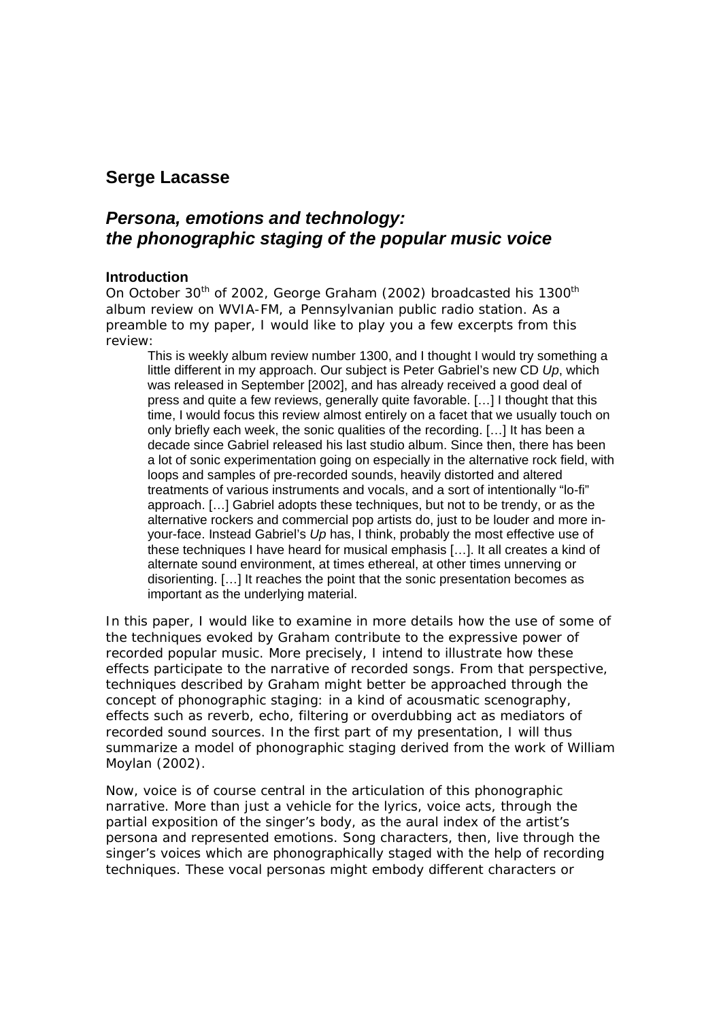# **Serge Lacasse**

# *Persona, emotions and technology: the phonographic staging of the popular music voice*

# **Introduction**

On October 30<sup>th</sup> of 2002, George Graham (2002) broadcasted his 1300<sup>th</sup> album review on WVIA-FM, a Pennsylvanian public radio station. As a preamble to my paper, I would like to play you a few excerpts from this review:

This is weekly album review number 1300, and I thought I would try something a little different in my approach. Our subject is Peter Gabriel's new CD *Up*, which was released in September [2002], and has already received a good deal of press and quite a few reviews, generally quite favorable. […] I thought that this time, I would focus this review almost entirely on a facet that we usually touch on only briefly each week, the sonic qualities of the recording. […] It has been a decade since Gabriel released his last studio album. Since then, there has been a lot of sonic experimentation going on especially in the alternative rock field, with loops and samples of pre-recorded sounds, heavily distorted and altered treatments of various instruments and vocals, and a sort of intentionally "lo-fi" approach. […] Gabriel adopts these techniques, but not to be trendy, or as the alternative rockers and commercial pop artists do, just to be louder and more inyour-face. Instead Gabriel's *Up* has, I think, probably the most effective use of these techniques I have heard for musical emphasis […]. It all creates a kind of alternate sound environment, at times ethereal, at other times unnerving or disorienting. […] It reaches the point that the sonic presentation becomes as important as the underlying material.

In this paper, I would like to examine in more details how the use of some of the techniques evoked by Graham contribute to the expressive power of recorded popular music. More precisely, I intend to illustrate how these effects participate to the *narrative* of recorded songs. From that perspective, techniques described by Graham might better be approached through the concept of *phonographic staging*: in a kind of acousmatic scenography, effects such as reverb, echo, filtering or overdubbing act as mediators of recorded sound sources. In the first part of my presentation, I will thus summarize a model of phonographic staging derived from the work of William Moylan (2002).

Now, voice is of course central in the articulation of this phonographic narrative. More than just a vehicle for the lyrics, voice acts, through the partial exposition of the singer's body, as the aural index of the artist's persona and represented emotions. Song characters, then, live through the singer's voices which are phonographically staged with the help of recording techniques. These vocal personas might embody different characters or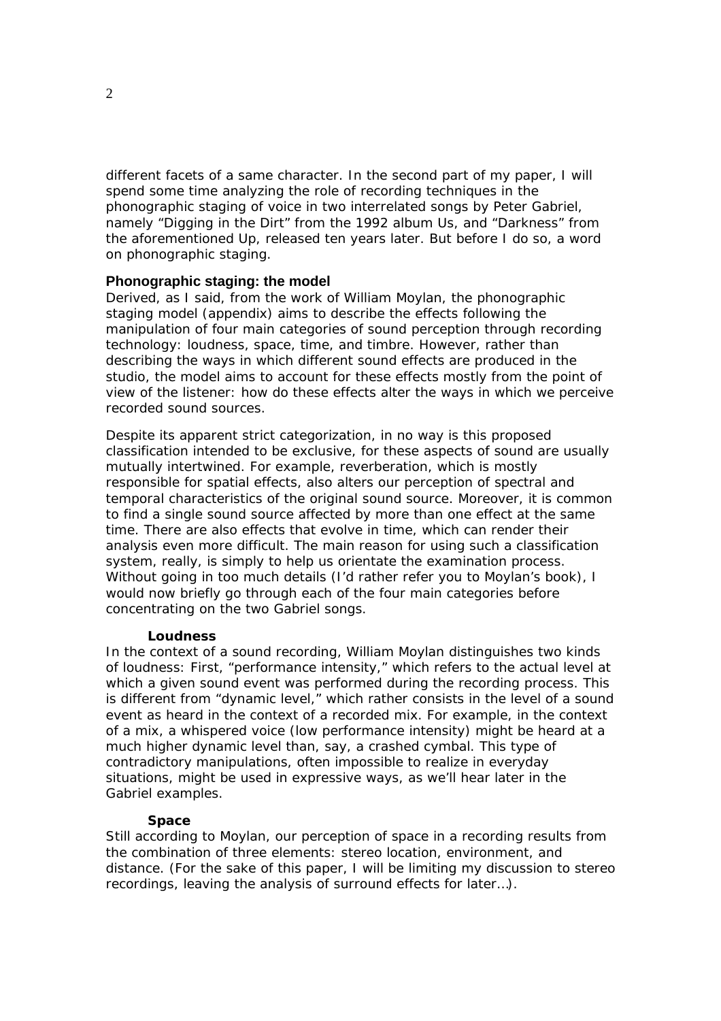different facets of a same character. In the second part of my paper, I will spend some time analyzing the role of recording techniques in the phonographic staging of voice in two interrelated songs by Peter Gabriel, namely "Digging in the Dirt" from the 1992 album *Us*, and "Darkness" from the aforementioned *Up*, released ten years later. But before I do so, a word on phonographic staging.

### **Phonographic staging: the model**

Derived, as I said, from the work of William Moylan, the phonographic staging model (appendix) aims to describe the effects following the manipulation of four main categories of sound perception through recording technology: loudness, space, time, and timbre. However, rather than describing the ways in which different sound effects are *produced* in the studio, the model aims to account for these effects mostly from the point of view of the listener: how do these effects alter the ways in which we *perceive* recorded sound sources.

Despite its apparent strict categorization, in no way is this proposed classification intended to be exclusive, for these aspects of sound are usually mutually intertwined. For example, reverberation, which is mostly responsible for spatial effects, also alters our perception of spectral and temporal characteristics of the original sound source. Moreover, it is common to find a single sound source affected by more than one effect at the same time. There are also effects that evolve in time, which can render their analysis even more difficult. The main reason for using such a classification system, really, is simply to help us orientate the examination process. Without going in too much details (I'd rather refer you to Moylan's book), I would now briefly go through each of the four main categories before concentrating on the two Gabriel songs.

#### **Loudness**

In the context of a sound recording, William Moylan distinguishes two kinds of loudness: First, "performance intensity," which refers to the actual level at which a given sound event was performed during the recording process. This is different from "dynamic level," which rather consists in the level of a sound event as heard in the context of a recorded mix. For example, in the context of a mix, a whispered voice (low performance intensity) might be heard at a much higher dynamic level than, say, a crashed cymbal. This type of contradictory manipulations, often impossible to realize in everyday situations, might be used in expressive ways, as we'll hear later in the Gabriel examples.

#### **Space**

Still according to Moylan, our perception of space in a recording results from the combination of three elements: stereo location, environment, and distance. (For the sake of this paper, I will be limiting my discussion to stereo recordings, leaving the analysis of surround effects for later…).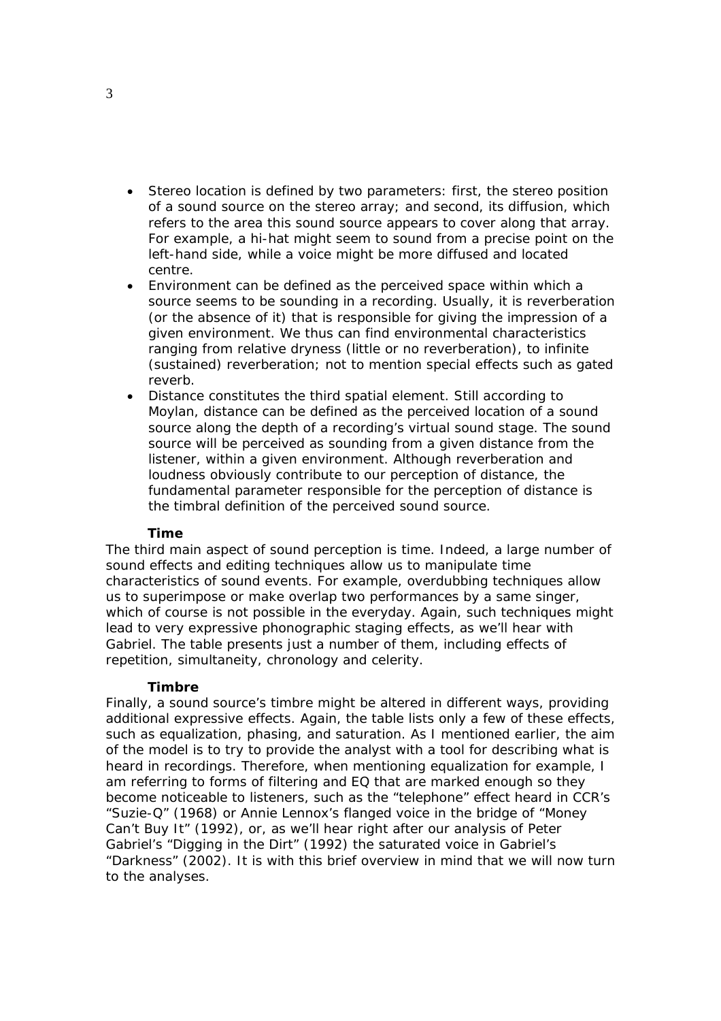- *Stereo location* is defined by two parameters: first, the stereo *position* of a sound source on the stereo array; and second, its *diffusion*, which refers to the area this sound source appears to *cover* along that array. For example, a hi-hat might seem to sound from a precise point on the left-hand side, while a voice might be more diffused and located centre.
- *Environment* can be defined as the perceived space within which a source seems to be sounding in a recording. Usually, it is reverberation (or the absence of it) that is responsible for giving the impression of a given environment. We thus can find environmental characteristics ranging from relative dryness (little or no reverberation), to infinite (sustained) reverberation; not to mention special effects such as gated reverb.
- *Distance* constitutes the third spatial element. Still according to Moylan, distance can be defined as the perceived location of a sound source along the depth of a recording's virtual sound stage. The sound source will be perceived as sounding from a given distance from the listener, within a given environment. Although reverberation and loudness obviously contribute to our perception of distance, the fundamental parameter responsible for the perception of distance is the *timbral definition* of the perceived sound source.

#### **Time**

The third main aspect of sound perception is time. Indeed, a large number of sound effects and editing techniques allow us to manipulate time characteristics of sound events. For example, overdubbing techniques allow us to superimpose or make overlap two performances by a same singer, which of course is not possible in the everyday. Again, such techniques might lead to very expressive phonographic staging effects, as we'll hear with Gabriel. The table presents just a number of them, including effects of repetition, simultaneity, chronology and celerity.

#### **Timbre**

Finally, a sound source's timbre might be altered in different ways, providing additional expressive effects. Again, the table lists only a few of these effects, such as equalization, phasing, and saturation. As I mentioned earlier, the aim of the model is to try to provide the analyst with a tool for describing what is *heard* in recordings. Therefore, when mentioning equalization for example, I am referring to forms of filtering and EQ that are marked enough so they become noticeable to listeners, such as the "telephone" effect heard in CCR's "Suzie-Q" (1968) or Annie Lennox's flanged voice in the bridge of "Money Can't Buy It" (1992), or, as we'll hear right after our analysis of Peter Gabriel's "Digging in the Dirt" (1992) the saturated voice in Gabriel's "Darkness" (2002). It is with this brief overview in mind that we will now turn to the analyses.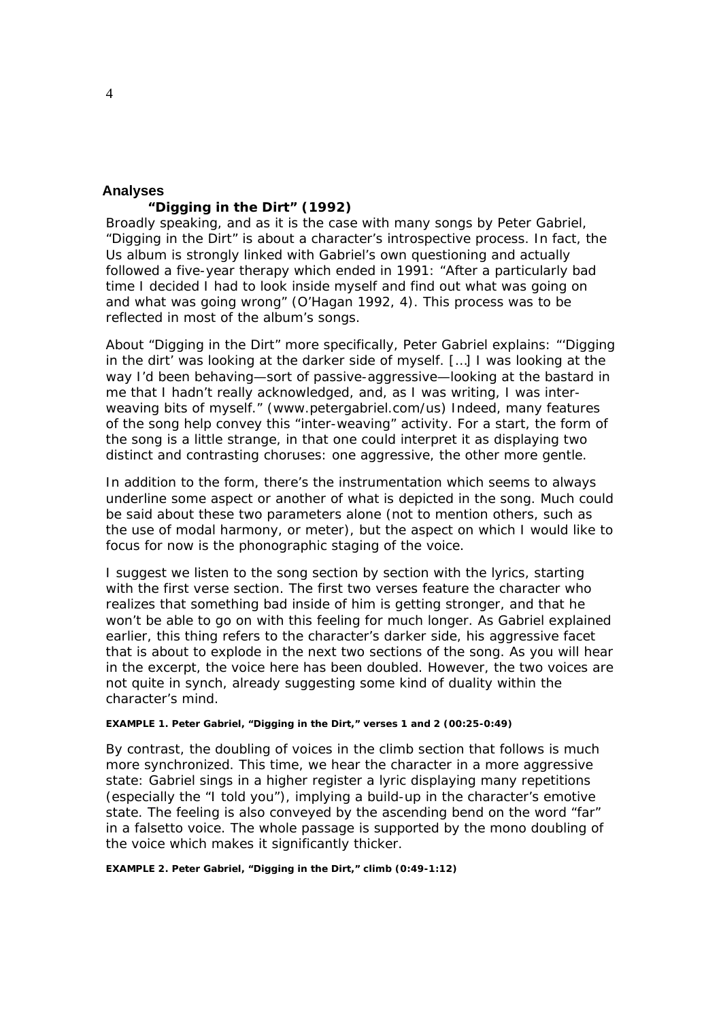## **Analyses**

#### **"Digging in the Dirt" (1992)**

Broadly speaking, and as it is the case with many songs by Peter Gabriel, "Digging in the Dirt" is about a character's introspective process. In fact, the *Us* album is strongly linked with Gabriel's own questioning and actually followed a five-year therapy which ended in 1991: "After a particularly bad time I decided I had to look inside myself and find out what was going on and what was going wrong" (O'Hagan 1992, 4). This process was to be reflected in most of the album's songs.

About "Digging in the Dirt" more specifically, Peter Gabriel explains: "'Digging in the dirt' was looking at the darker side of myself. […] I was looking at the way I'd been behaving—sort of passive-aggressive—looking at the bastard in me that I hadn't really acknowledged, and, as I was writing, I was interweaving bits of myself." (www.petergabriel.com/us) Indeed, many features of the song help convey this "inter-weaving" activity. For a start, the form of the song is a little strange, in that one could interpret it as displaying two distinct and contrasting choruses: one aggressive, the other more gentle.

In addition to the form, there's the instrumentation which seems to always underline some aspect or another of what is depicted in the song. Much could be said about these two parameters alone (not to mention others, such as the use of modal harmony, or meter), but the aspect on which I would like to focus for now is the phonographic staging of the voice.

I suggest we listen to the song section by section with the lyrics, starting with the first verse section. The first two verses feature the character who realizes that something bad inside of him is getting stronger, and that he won't be able to go on with this feeling for much longer. As Gabriel explained earlier, this thing refers to the character's darker side, his aggressive facet that is about to explode in the next two sections of the song. As you will hear in the excerpt, the voice here has been doubled. However, the two voices are not quite in synch, already suggesting some kind of duality within the character's mind.

#### *EXAMPLE 1. Peter Gabriel, "Digging in the Dirt," verses 1 and 2 (00:25-0:49)*

By contrast, the doubling of voices in the climb section that follows is much more synchronized. This time, we hear the character in a more aggressive state: Gabriel sings in a higher register a lyric displaying many repetitions (especially the "I told you"), implying a build-up in the character's emotive state. The feeling is also conveyed by the ascending bend on the word "far" in a falsetto voice. The whole passage is supported by the mono doubling of the voice which makes it significantly thicker.

*EXAMPLE 2. Peter Gabriel, "Digging in the Dirt," climb (0:49-1:12)*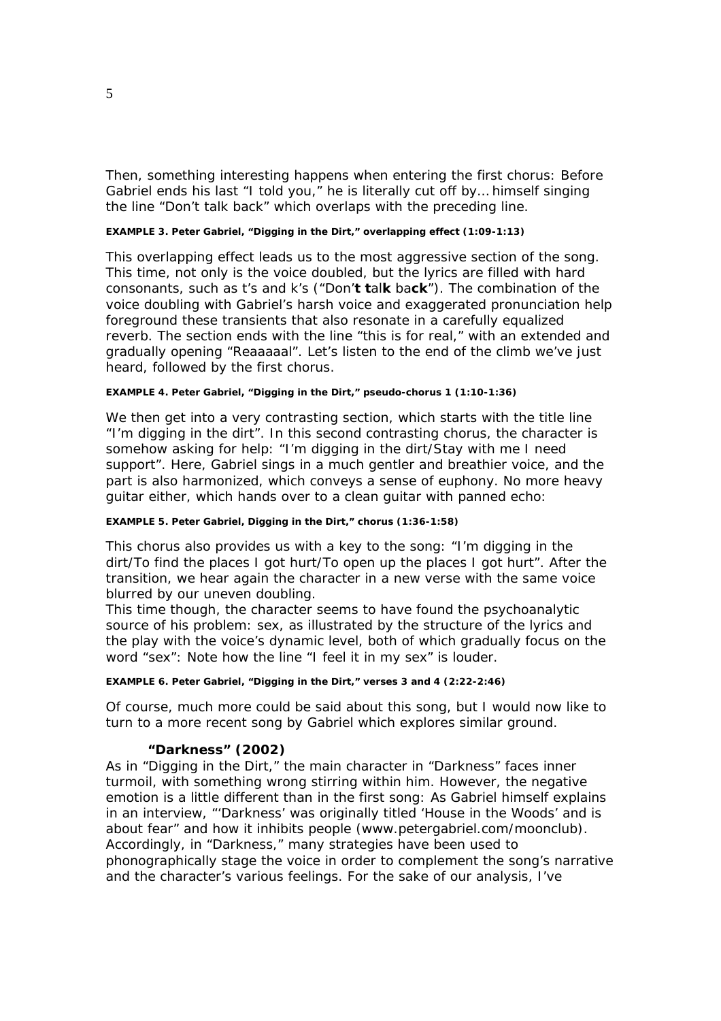Then, something interesting happens when entering the first chorus: Before Gabriel ends his last "I told you," he is literally cut off by… himself singing the line "Don't talk back" which overlaps with the preceding line.

#### *EXAMPLE 3. Peter Gabriel, "Digging in the Dirt," overlapping effect (1:09-1:13)*

This overlapping effect leads us to the most aggressive section of the song. This time, not only is the voice doubled, but the lyrics are filled with hard consonants, such as t's and k's ("Don'**t t**al**k** ba**ck**"). The combination of the voice doubling with Gabriel's harsh voice and exaggerated pronunciation help foreground these transients that also resonate in a carefully equalized reverb. The section ends with the line "this is for real," with an extended and gradually opening "Reaaaaal". Let's listen to the end of the climb we've just heard, followed by the first chorus.

#### *EXAMPLE 4. Peter Gabriel, "Digging in the Dirt," pseudo-chorus 1 (1:10-1:36)*

We then get into a very contrasting section, which starts with the title line "I'm digging in the dirt". In this second contrasting chorus, the character is somehow asking for help: "I'm digging in the dirt/Stay with me I need support". Here, Gabriel sings in a much gentler and breathier voice, and the part is also harmonized, which conveys a sense of euphony. No more heavy guitar either, which hands over to a clean guitar with panned echo:

#### *EXAMPLE 5. Peter Gabriel, Digging in the Dirt," chorus (1:36-1:58)*

This chorus also provides us with a key to the song: "I'm digging in the dirt/To find the places I got hurt/To open up the places I got hurt". After the transition, we hear again the character in a new verse with the same voice blurred by our uneven doubling.

This time though, the character seems to have found the psychoanalytic source of his problem: sex, as illustrated by the structure of the lyrics and the play with the voice's dynamic level, both of which gradually focus on the word "sex": Note how the line "I feel it in my sex" is louder.

#### *EXAMPLE 6. Peter Gabriel, "Digging in the Dirt," verses 3 and 4 (2:22-2:46)*

Of course, much more could be said about this song, but I would now like to turn to a more recent song by Gabriel which explores similar ground.

#### **"Darkness" (2002)**

As in "Digging in the Dirt," the main character in "Darkness" faces inner turmoil, with something wrong stirring within him. However, the negative emotion is a little different than in the first song: As Gabriel himself explains in an interview, "'Darkness' was originally titled 'House in the Woods' and is about fear" and how it inhibits people (www.petergabriel.com/moonclub). Accordingly, in "Darkness," many strategies have been used to phonographically stage the voice in order to complement the song's narrative and the character's various feelings. For the sake of our analysis, I've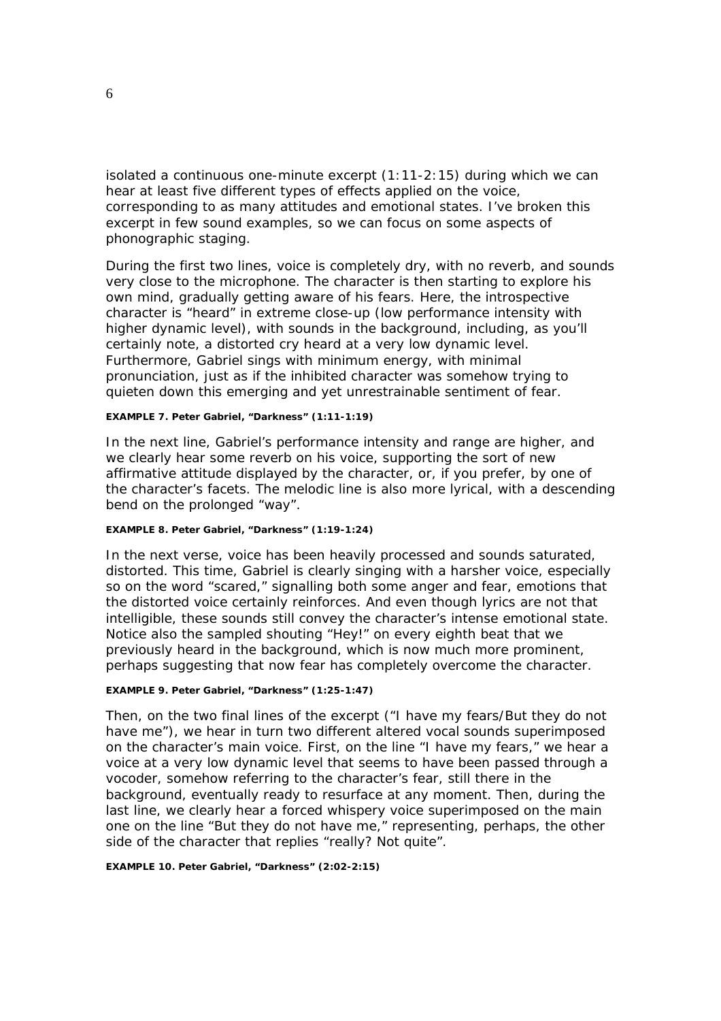isolated a continuous one-minute excerpt (1:11-2:15) during which we can hear at least five different types of effects applied on the voice, corresponding to as many attitudes and emotional states. I've broken this excerpt in few sound examples, so we can focus on some aspects of phonographic staging.

During the first two lines, voice is completely dry, with no reverb, and sounds very close to the microphone. The character is then starting to explore his own mind, gradually getting aware of his fears. Here, the introspective character is "heard" in extreme close-up (low performance intensity with higher dynamic level), with sounds in the background, including, as you'll certainly note, a distorted cry heard at a very low dynamic level. Furthermore, Gabriel sings with minimum energy, with minimal pronunciation, just as if the inhibited character was somehow trying to quieten down this emerging and yet unrestrainable sentiment of fear.

#### *EXAMPLE 7. Peter Gabriel, "Darkness" (1:11-1:19)*

In the next line, Gabriel's performance intensity and range are higher, and we clearly hear some reverb on his voice, supporting the sort of new affirmative attitude displayed by the character, or, if you prefer, by one of the character's facets. The melodic line is also more lyrical, with a descending bend on the prolonged "way".

#### *EXAMPLE 8. Peter Gabriel, "Darkness" (1:19-1:24)*

In the next verse, voice has been heavily processed and sounds saturated, distorted. This time, Gabriel is clearly singing with a harsher voice, especially so on the word "scared," signalling both some anger and fear, emotions that the distorted voice certainly reinforces. And even though lyrics are not that intelligible, these sounds still convey the character's intense emotional state. Notice also the sampled shouting "Hey!" on every eighth beat that we previously heard in the background, which is now much more prominent, perhaps suggesting that now fear has completely overcome the character.

#### *EXAMPLE 9. Peter Gabriel, "Darkness" (1:25-1:47)*

Then, on the two final lines of the excerpt ("I have my fears/But they do not have me"), we hear in turn two different altered vocal sounds superimposed on the character's main voice. First, on the line "I have my fears," we hear a voice at a very low dynamic level that seems to have been passed through a vocoder, somehow referring to the character's fear, still there in the background, eventually ready to resurface at any moment. Then, during the last line, we clearly hear a forced whispery voice superimposed on the main one on the line "But they do not have me," representing, perhaps, the other side of the character that replies "really? Not quite".

*EXAMPLE 10. Peter Gabriel, "Darkness" (2:02-2:15)*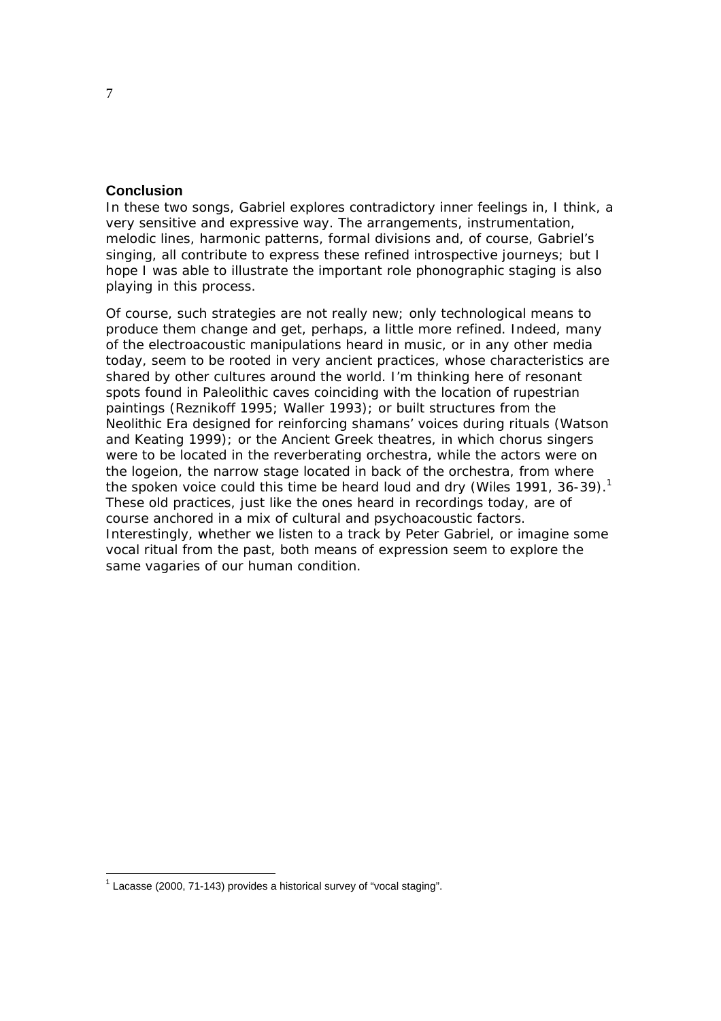## **Conclusion**

In these two songs, Gabriel explores contradictory inner feelings in, I think, a very sensitive and expressive way. The arrangements, instrumentation, melodic lines, harmonic patterns, formal divisions and, of course, Gabriel's singing, all contribute to express these refined introspective journeys; but I hope I was able to illustrate the important role phonographic staging is also playing in this process.

Of course, such strategies are not really new; only technological means to produce them change and get, perhaps, a little more refined. Indeed, many of the electroacoustic manipulations heard in music, or in any other media today, seem to be rooted in very ancient practices, whose characteristics are shared by other cultures around the world. I'm thinking here of resonant spots found in Paleolithic caves coinciding with the location of rupestrian paintings (Reznikoff 1995; Waller 1993); or built structures from the Neolithic Era designed for reinforcing shamans' voices during rituals (Watson and Keating 1999); or the Ancient Greek theatres, in which chorus singers were to be located in the reverberating orchestra, while the actors were on the *logeion*, the narrow stage located in back of the orchestra, from where the spoken voice could this time be heard loud and dry (Wiles 1991, 36-39).<sup>1</sup> These old practices, just like the ones heard in recordings today, are of course anchored in a mix of cultural and psychoacoustic factors. Interestingly, whether we listen to a track by Peter Gabriel, or imagine some vocal ritual from the past, both means of expression seem to explore the same vagaries of our human condition.

 $1$  Lacasse (2000, 71-143) provides a historical survey of "vocal staging".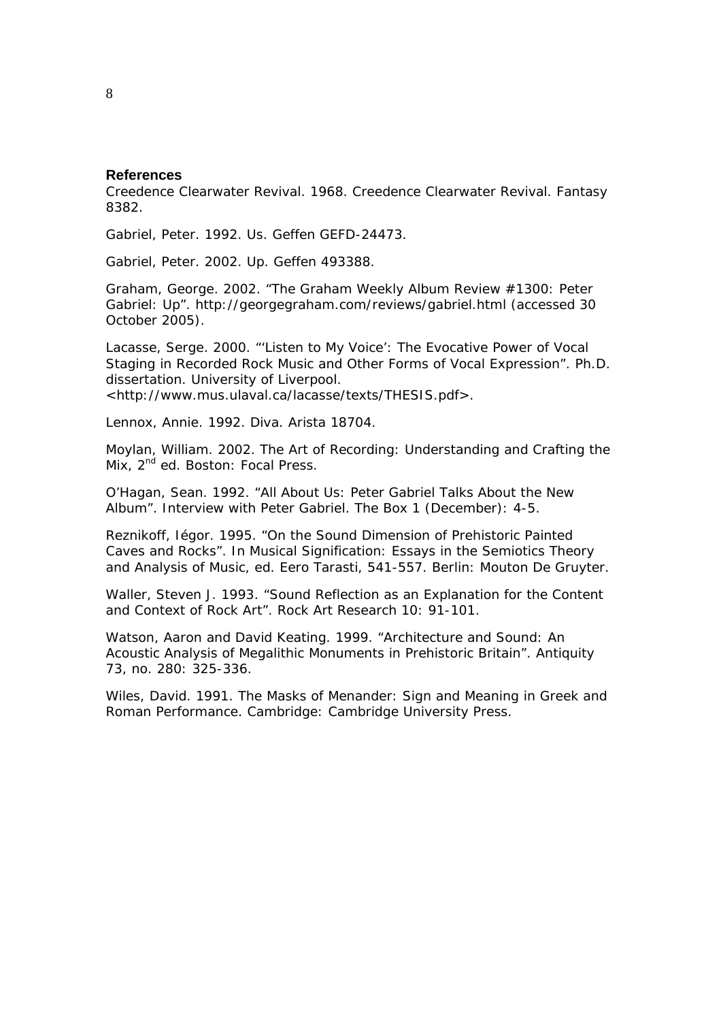#### **References**

Creedence Clearwater Revival. 1968. *Creedence Clearwater Revival*. Fantasy 8382.

Gabriel, Peter. 1992. *Us*. Geffen GEFD-24473.

Gabriel, Peter. 2002. *Up*. Geffen 493388.

Graham, George. 2002. "The Graham Weekly Album Review #1300: Peter Gabriel: *Up*". http://georgegraham.com/reviews/gabriel.html (accessed 30 October 2005).

Lacasse, Serge. 2000. "'Listen to My Voice': The Evocative Power of Vocal Staging in Recorded Rock Music and Other Forms of Vocal Expression". Ph.D. dissertation. University of Liverpool. <http://www.mus.ulaval.ca/lacasse/texts/THESIS.pdf>.

Lennox, Annie. 1992. *Diva*. Arista 18704.

Moylan, William. 2002. *The Art of Recording: Understanding and Crafting the*  Mix, 2<sup>nd</sup> ed. Boston: Focal Press.

O'Hagan, Sean. 1992. "All About *Us*: Peter Gabriel Talks About the New Album". Interview with Peter Gabriel. *The Box* 1 (December): 4-5.

Reznikoff, Iégor. 1995. "On the Sound Dimension of Prehistoric Painted Caves and Rocks". In *Musical Signification: Essays in the Semiotics Theory and Analysis of Music*, ed. Eero Tarasti, 541-557. Berlin: Mouton De Gruyter.

Waller, Steven J. 1993. "Sound Reflection as an Explanation for the Content and Context of Rock Art". *Rock Art Research* 10: 91-101.

Watson, Aaron and David Keating. 1999. "Architecture and Sound: An Acoustic Analysis of Megalithic Monuments in Prehistoric Britain". *Antiquity* 73, no. 280: 325-336.

Wiles, David. 1991. *The Masks of Menander: Sign and Meaning in Greek and Roman Performance.* Cambridge: Cambridge University Press.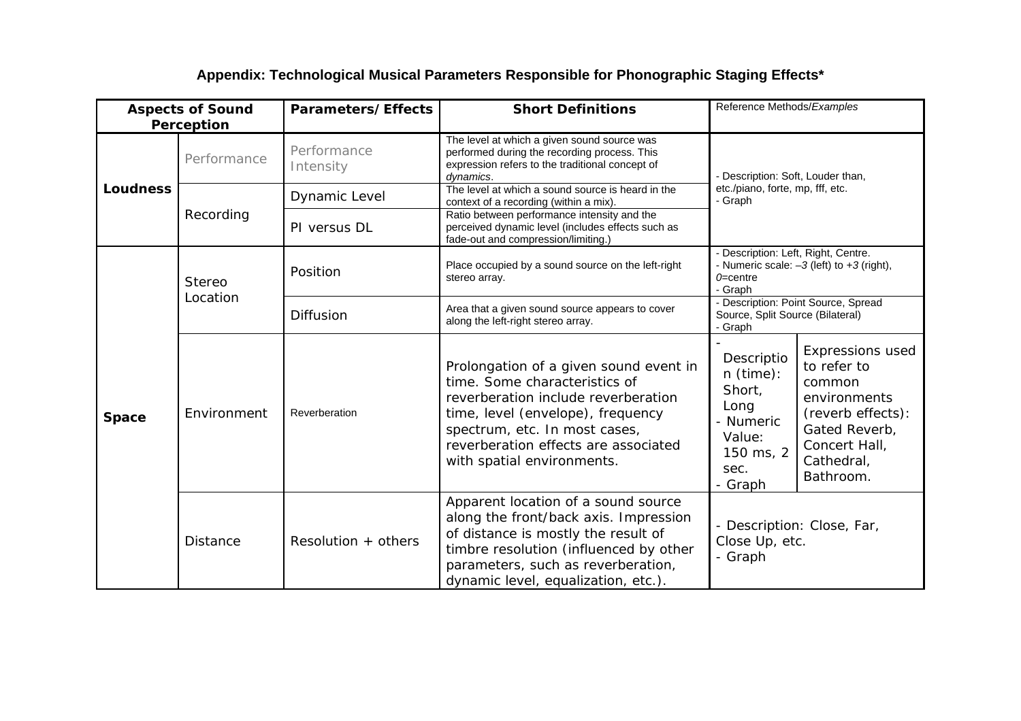# **Appendix: Technological Musical Parameters Responsible for Phonographic Staging Effects\***

| <b>Aspects of Sound</b><br>Perception |                    | Parameters/Effects       | <b>Short Definitions</b>                                                                                                                                                                                                                                   | Reference Methods/Examples                                                                                                                                                                                                                           |
|---------------------------------------|--------------------|--------------------------|------------------------------------------------------------------------------------------------------------------------------------------------------------------------------------------------------------------------------------------------------------|------------------------------------------------------------------------------------------------------------------------------------------------------------------------------------------------------------------------------------------------------|
| Loudness                              | Performance        | Performance<br>Intensity | The level at which a given sound source was<br>performed during the recording process. This<br>expression refers to the traditional concept of<br>dynamics.                                                                                                | - Description: Soft, Louder than,<br>etc./piano, forte, mp, fff, etc.<br>- Graph                                                                                                                                                                     |
|                                       | Recording          | Dynamic Level            | The level at which a sound source is heard in the<br>context of a recording (within a mix).                                                                                                                                                                |                                                                                                                                                                                                                                                      |
|                                       |                    | PI versus DL             | Ratio between performance intensity and the<br>perceived dynamic level (includes effects such as<br>fade-out and compression/limiting.)                                                                                                                    |                                                                                                                                                                                                                                                      |
| Space                                 | Stereo<br>Location | Position                 | Place occupied by a sound source on the left-right<br>stereo array.                                                                                                                                                                                        | - Description: Left, Right, Centre.<br>- Numeric scale: $-3$ (left) to $+3$ (right),<br>$0 =$ centre<br>- Graph                                                                                                                                      |
|                                       |                    | <b>Diffusion</b>         | Area that a given sound source appears to cover<br>along the left-right stereo array.                                                                                                                                                                      | - Description: Point Source, Spread<br>Source, Split Source (Bilateral)<br>- Graph                                                                                                                                                                   |
|                                       | Environment        | Reverberation            | Prolongation of a given sound event in<br>time. Some characteristics of<br>reverberation include reverberation<br>time, level (envelope), frequency<br>spectrum, etc. In most cases,<br>reverberation effects are associated<br>with spatial environments. | <b>Expressions used</b><br>Descriptio<br>to refer to<br>n (time):<br>common<br>Short,<br>environments<br>Long<br>(reverb effects):<br>Numeric<br>Gated Reverb,<br>Value:<br>Concert Hall,<br>150 ms, 2<br>Cathedral,<br>sec.<br>Bathroom.<br>- Graph |
|                                       | <b>Distance</b>    | Resolution $+$ others    | Apparent location of a sound source<br>along the front/back axis. Impression<br>of distance is mostly the result of<br>timbre resolution (influenced by other<br>parameters, such as reverberation,<br>dynamic level, equalization, etc.).                 | - Description: Close, Far,<br>Close Up, etc.<br>- Graph                                                                                                                                                                                              |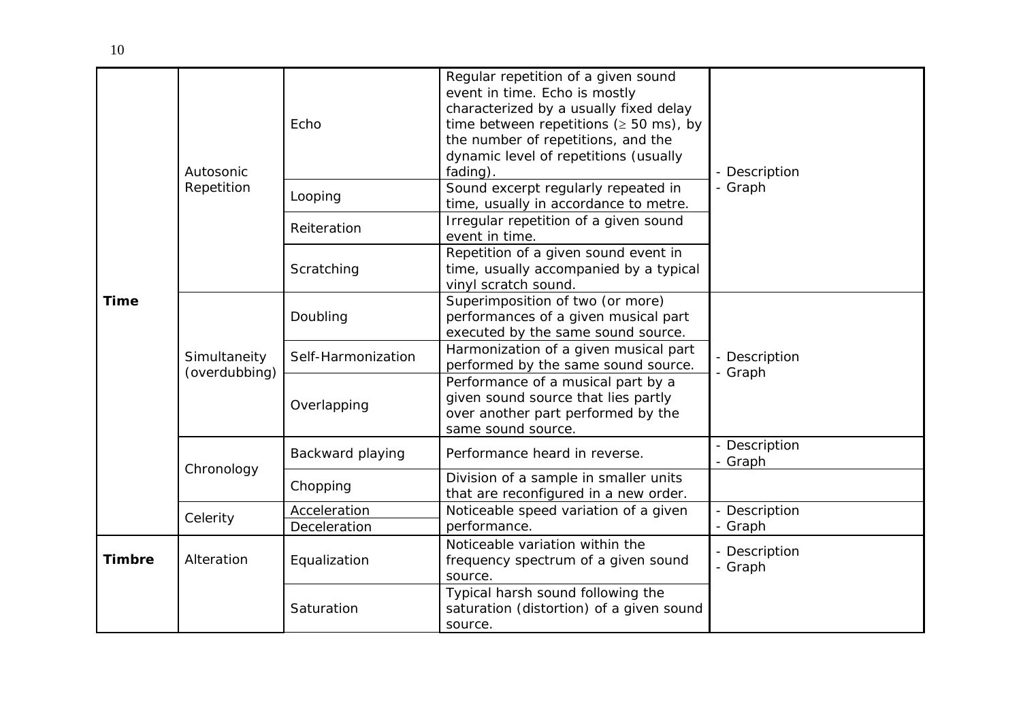| <b>Time</b>   | Autosonic<br>Repetition       | Echo               | Regular repetition of a given sound<br>event in time. Echo is mostly<br>characterized by a usually fixed delay<br>time between repetitions ( $\geq 50$ ms), by<br>the number of repetitions, and the<br>dynamic level of repetitions (usually<br>fading). | - Description<br>- Graph |
|---------------|-------------------------------|--------------------|-----------------------------------------------------------------------------------------------------------------------------------------------------------------------------------------------------------------------------------------------------------|--------------------------|
|               |                               | Looping            | Sound excerpt regularly repeated in<br>time, usually in accordance to metre.                                                                                                                                                                              |                          |
|               |                               | Reiteration        | Irregular repetition of a given sound<br>event in time.                                                                                                                                                                                                   |                          |
|               |                               | Scratching         | Repetition of a given sound event in<br>time, usually accompanied by a typical<br>vinyl scratch sound.                                                                                                                                                    |                          |
|               | Simultaneity<br>(overdubbing) | Doubling           | Superimposition of two (or more)<br>performances of a given musical part<br>executed by the same sound source.                                                                                                                                            | - Description<br>- Graph |
|               |                               | Self-Harmonization | Harmonization of a given musical part<br>performed by the same sound source.                                                                                                                                                                              |                          |
|               |                               | Overlapping        | Performance of a musical part by a<br>given sound source that lies partly<br>over another part performed by the<br>same sound source.                                                                                                                     |                          |
|               | Chronology                    | Backward playing   | Performance heard in reverse.                                                                                                                                                                                                                             | - Description<br>- Graph |
|               |                               | Chopping           | Division of a sample in smaller units<br>that are reconfigured in a new order.                                                                                                                                                                            |                          |
|               | Celerity                      | Acceleration       | Noticeable speed variation of a given                                                                                                                                                                                                                     | - Description            |
|               |                               | Deceleration       | performance.                                                                                                                                                                                                                                              | - Graph                  |
| <b>Timbre</b> | Alteration                    | Equalization       | Noticeable variation within the<br>frequency spectrum of a given sound<br>source.                                                                                                                                                                         | - Description<br>- Graph |
|               |                               | Saturation         | Typical harsh sound following the<br>saturation (distortion) of a given sound<br>source.                                                                                                                                                                  |                          |